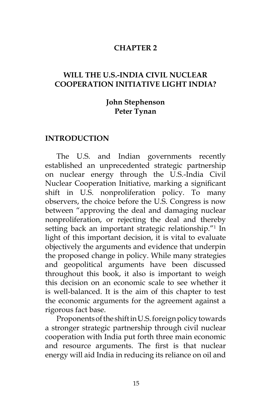#### **CHAPTER 2**

## **WILL THE U.S.-INDIA CIVIL NUCLEAR COOPERATION INITIATIVE LIGHT INDIA?**

## **John Stephenson Peter Tynan**

#### **INTRODUCTION**

The U.S. and Indian governments recently established an unprecedented strategic partnership on nuclear energy through the U.S.-India Civil Nuclear Cooperation Initiative, marking a significant shift in U.S. nonproliferation policy. To many observers, the choice before the U.S. Congress is now between "approving the deal and damaging nuclear nonproliferation, or rejecting the deal and thereby setting back an important strategic relationship."<sup>1</sup> In light of this important decision, it is vital to evaluate objectively the arguments and evidence that underpin the proposed change in policy. While many strategies and geopolitical arguments have been discussed throughout this book, it also is important to weigh this decision on an economic scale to see whether it is well-balanced. It is the aim of this chapter to test the economic arguments for the agreement against a rigorous fact base.

Proponents of the shift in U.S. foreign policy towards a stronger strategic partnership through civil nuclear cooperation with India put forth three main economic and resource arguments. The first is that nuclear energy will aid India in reducing its reliance on oil and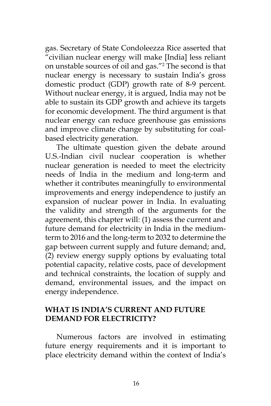gas. Secretary of State Condoleezza Rice asserted that "civilian nuclear energy will make [India] less reliant on unstable sources of oil and gas."2 The second is that nuclear energy is necessary to sustain India's gross domestic product (GDP) growth rate of 8-9 percent. Without nuclear energy, it is argued, India may not be able to sustain its GDP growth and achieve its targets for economic development. The third argument is that nuclear energy can reduce greenhouse gas emissions and improve climate change by substituting for coalbased electricity generation.

The ultimate question given the debate around U.S.-Indian civil nuclear cooperation is whether nuclear generation is needed to meet the electricity needs of India in the medium and long-term and whether it contributes meaningfully to environmental improvements and energy independence to justify an expansion of nuclear power in India. In evaluating the validity and strength of the arguments for the agreement, this chapter will: (1) assess the current and future demand for electricity in India in the mediumterm to 2016 and the long-term to 2032 to determine the gap between current supply and future demand; and, (2) review energy supply options by evaluating total potential capacity, relative costs, pace of development and technical constraints, the location of supply and demand, environmental issues, and the impact on energy independence.

## **WHAT IS INDIA'S CURRENT AND FUTURE DEMAND FOR ELECTRICITY?**

Numerous factors are involved in estimating future energy requirements and it is important to place electricity demand within the context of India's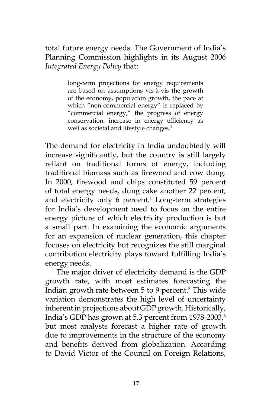total future energy needs. The Government of India's Planning Commission highlights in its August 2006 *Integrated Energy Policy* that:

> long-term projections for energy requirements are based on assumptions vis-à-vis the growth of the economy, population growth, the pace at which "non-commercial energy" is replaced by "commercial energy," the progress of energy conservation, increase in energy efficiency as well as societal and lifestyle changes.<sup>3</sup>

The demand for electricity in India undoubtedly will increase significantly, but the country is still largely reliant on traditional forms of energy, including traditional biomass such as firewood and cow dung. In 2000, firewood and chips constituted 59 percent of total energy needs, dung cake another 22 percent, and electricity only 6 percent.<sup>4</sup> Long-term strategies for India's development need to focus on the entire energy picture of which electricity production is but a small part. In examining the economic arguments for an expansion of nuclear generation, this chapter focuses on electricity but recognizes the still marginal contribution electricity plays toward fulfilling India's energy needs.

The major driver of electricity demand is the GDP growth rate, with most estimates forecasting the Indian growth rate between 5 to 9 percent.<sup>5</sup> This wide variation demonstrates the high level of uncertainty inherent in projections about GDP growth. Historically, India's GDP has grown at 5.3 percent from 1978-2003,6 but most analysts forecast a higher rate of growth due to improvements in the structure of the economy and benefits derived from globalization. According to David Victor of the Council on Foreign Relations,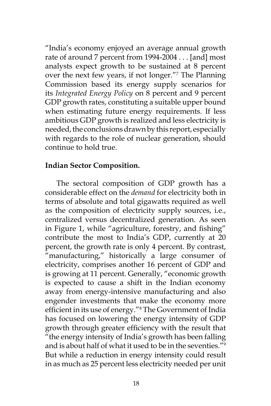"India's economy enjoyed an average annual growth rate of around 7 percent from 1994-2004 . . . [and] most analysts expect growth to be sustained at 8 percent over the next few years, if not longer."7 The Planning Commission based its energy supply scenarios for its *Integrated Energy Policy* on 8 percent and 9 percent GDP growth rates, constituting a suitable upper bound when estimating future energy requirements. If less ambitious GDP growth is realized and less electricity is needed, the conclusions drawn by this report, especially with regards to the role of nuclear generation, should continue to hold true.

### **Indian Sector Composition.**

The sectoral composition of GDP growth has a considerable effect on the *demand* for electricity both in terms of absolute and total gigawatts required as well as the composition of electricity supply sources, i.e., centralized versus decentralized generation. As seen in Figure 1, while "agriculture, forestry, and fishing" contribute the most to India's GDP, currently at 20 percent, the growth rate is only 4 percent. By contrast, "manufacturing," historically a large consumer of electricity, comprises another 16 percent of GDP and is growing at 11 percent. Generally, "economic growth is expected to cause a shift in the Indian economy away from energy-intensive manufacturing and also engender investments that make the economy more efficient in its use of energy."<sup>8</sup> The Government of India has focused on lowering the energy intensity of GDP growth through greater efficiency with the result that "the energy intensity of India's growth has been falling and is about half of what it used to be in the seventies."9 But while a reduction in energy intensity could result in as much as 25 percent less electricity needed per unit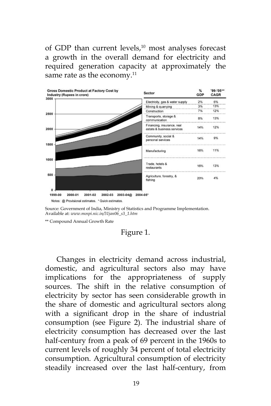of GDP than current levels,<sup>10</sup> most analyses forecast a growth in the overall demand for electricity and required generation capacity at approximately the same rate as the economy.<sup>11</sup>



Source: Government of India, Ministry of Statistics and Programme Implementation. Available at: *www.mospi.nic.in/31jan06\_s3\_1.htm*

\*\* Compound Annual Growth Rate

#### Figure 1.

Changes in electricity demand across industrial, domestic, and agricultural sectors also may have implications for the appropriateness of supply sources. The shift in the relative consumption of electricity by sector has seen considerable growth in the share of domestic and agricultural sectors along with a significant drop in the share of industrial consumption (see Figure 2). The industrial share of electricity consumption has decreased over the last half-century from a peak of 69 percent in the 1960s to current levels of roughly 34 percent of total electricity consumption. Agricultural consumption of electricity steadily increased over the last half-century, from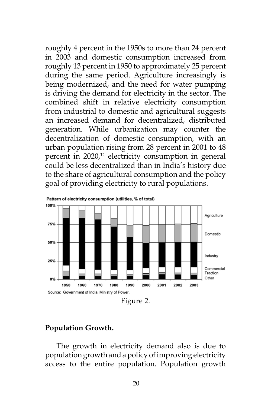roughly 4 percent in the 1950s to more than 24 percent in 2003 and domestic consumption increased from roughly 13 percent in 1950 to approximately 25 percent during the same period. Agriculture increasingly is being modernized, and the need for water pumping is driving the demand for electricity in the sector. The combined shift in relative electricity consumption from industrial to domestic and agricultural suggests an increased demand for decentralized, distributed generation. While urbanization may counter the decentralization of domestic consumption, with an urban population rising from 28 percent in 2001 to 48 percent in  $2020<sub>1</sub><sup>12</sup>$  electricity consumption in general could be less decentralized than in India's history due to the share of agricultural consumption and the policy goal of providing electricity to rural populations.



## **Population Growth.**

The growth in electricity demand also is due to population growth and a policy of improving electricity access to the entire population. Population growth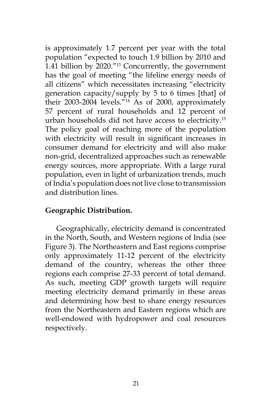is approximately 1.7 percent per year with the total population "expected to touch 1.9 billion by 2010 and 1.41 billion by 2020."13 Concurrently, the government has the goal of meeting "the lifeline energy needs of all citizens" which necessitates increasing "electricity generation capacity/supply by 5 to 6 times [that] of their 2003-2004 levels."14 As of 2000, approximately 57 percent of rural households and 12 percent of urban households did not have access to electricity.15 The policy goal of reaching more of the population with electricity will result in significant increases in consumer demand for electricity and will also make non-grid, decentralized approaches such as renewable energy sources, more appropriate. With a large rural population, even in light of urbanization trends, much of India's population does not live close to transmission and distribution lines.

## **Geographic Distribution.**

Geographically, electricity demand is concentrated in the North, South, and Western regions of India (see Figure 3). The Northeastern and East regions comprise only approximately 11-12 percent of the electricity demand of the country, whereas the other three regions each comprise 27-33 percent of total demand. As such, meeting GDP growth targets will require meeting electricity demand primarily in these areas and determining how best to share energy resources from the Northeastern and Eastern regions which are well-endowed with hydropower and coal resources respectively.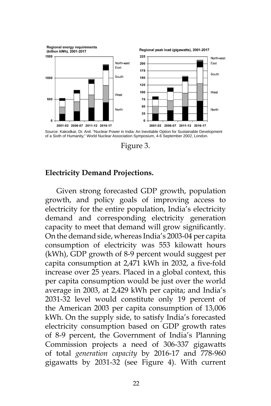

Figure 3.

#### **Electricity Demand Projections.**

Given strong forecasted GDP growth, population growth, and policy goals of improving access to electricity for the entire population, India's electricity demand and corresponding electricity generation capacity to meet that demand will grow significantly. On the demand side, whereas India's 2003-04 per capita consumption of electricity was 553 kilowatt hours (kWh), GDP growth of 8-9 percent would suggest per capita consumption at 2,471 kWh in 2032, a five-fold increase over 25 years. Placed in a global context, this per capita consumption would be just over the world average in 2003, at 2,429 kWh per capita; and India's 2031-32 level would constitute only 19 percent of the American 2003 per capita consumption of 13,006 kWh. On the supply side, to satisfy India's forecasted electricity consumption based on GDP growth rates of 8-9 percent, the Government of India's Planning Commission projects a need of 306-337 gigawatts of total *generation capacity* by 2016-17 and 778-960 gigawatts by 2031-32 (see Figure 4). With current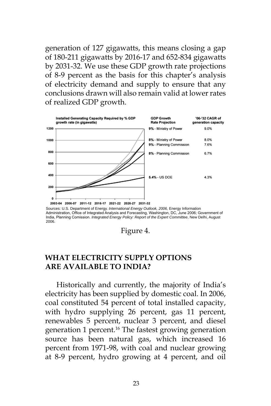generation of 127 gigawatts, this means closing a gap of 180-211 gigawatts by 2016-17 and 652-834 gigawatts by 2031-32. We use these GDP growth rate projections of 8-9 percent as the basis for this chapter's analysis of electricity demand and supply to ensure that any conclusions drawn will also remain valid at lower rates of realized GDP growth.



Sources: U.S. Department of Energy*. International Energy Outlook, 2006,* Energy Information<br>Administration, Office of Integrated Analysis and Forecasting, Washington, DC, June 2006; Government of India, Planning Comission. *Integrated Energy Policy: Report of the Expert Committee*, New Delhi, August 2006.

Figure 4.

## **WHAT ELECTRICITY SUPPLY OPTIONS ARE AVAILABLE TO INDIA?**

Historically and currently, the majority of India's electricity has been supplied by domestic coal. In 2006, coal constituted 54 percent of total installed capacity, with hydro supplying 26 percent, gas 11 percent, renewables 5 percent, nuclear 3 percent, and diesel generation 1 percent.<sup>16</sup> The fastest growing generation source has been natural gas, which increased 16 percent from 1971-98, with coal and nuclear growing at 8-9 percent, hydro growing at 4 percent, and oil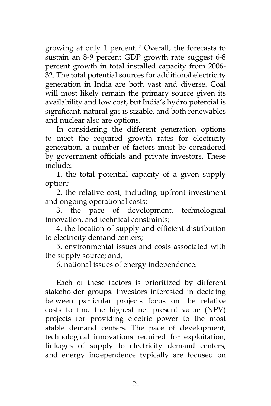growing at only 1 percent.<sup>17</sup> Overall, the forecasts to sustain an 8-9 percent GDP growth rate suggest 6-8 percent growth in total installed capacity from 2006- 32. The total potential sources for additional electricity generation in India are both vast and diverse. Coal will most likely remain the primary source given its availability and low cost, but India's hydro potential is significant, natural gas is sizable, and both renewables and nuclear also are options.

In considering the different generation options to meet the required growth rates for electricity generation, a number of factors must be considered by government officials and private investors. These include:

1. the total potential capacity of a given supply option;

2. the relative cost, including upfront investment and ongoing operational costs;

3. the pace of development, technological innovation, and technical constraints;

4. the location of supply and efficient distribution to electricity demand centers;

5. environmental issues and costs associated with the supply source; and,

6. national issues of energy independence.

Each of these factors is prioritized by different stakeholder groups. Investors interested in deciding between particular projects focus on the relative costs to find the highest net present value (NPV) projects for providing electric power to the most stable demand centers. The pace of development, technological innovations required for exploitation, linkages of supply to electricity demand centers, and energy independence typically are focused on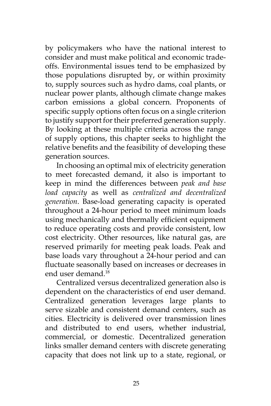by policymakers who have the national interest to consider and must make political and economic tradeoffs. Environmental issues tend to be emphasized by those populations disrupted by, or within proximity to, supply sources such as hydro dams, coal plants, or nuclear power plants, although climate change makes carbon emissions a global concern. Proponents of specific supply options often focus on a single criterion to justify support for their preferred generation supply. By looking at these multiple criteria across the range of supply options, this chapter seeks to highlight the relative benefits and the feasibility of developing these generation sources.

In choosing an optimal mix of electricity generation to meet forecasted demand, it also is important to keep in mind the differences between *peak and base load capacity* as well as *centralized and decentralized generation*. Base-load generating capacity is operated throughout a 24-hour period to meet minimum loads using mechanically and thermally efficient equipment to reduce operating costs and provide consistent, low cost electricity. Other resources, like natural gas, are reserved primarily for meeting peak loads. Peak and base loads vary throughout a 24-hour period and can fluctuate seasonally based on increases or decreases in end user demand.18

Centralized versus decentralized generation also is dependent on the characteristics of end user demand. Centralized generation leverages large plants to serve sizable and consistent demand centers, such as cities. Electricity is delivered over transmission lines and distributed to end users, whether industrial, commercial, or domestic. Decentralized generation links smaller demand centers with discrete generating capacity that does not link up to a state, regional, or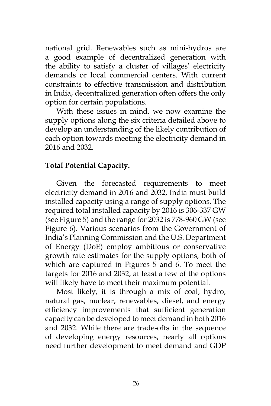national grid. Renewables such as mini-hydros are a good example of decentralized generation with the ability to satisfy a cluster of villages' electricity demands or local commercial centers. With current constraints to effective transmission and distribution in India, decentralized generation often offers the only option for certain populations.

With these issues in mind, we now examine the supply options along the six criteria detailed above to develop an understanding of the likely contribution of each option towards meeting the electricity demand in 2016 and 2032.

## **Total Potential Capacity.**

Given the forecasted requirements to meet electricity demand in 2016 and 2032, India must build installed capacity using a range of supply options. The required total installed capacity by 2016 is 306-337 GW (see Figure 5) and the range for 2032 is 778-960 GW (see Figure 6). Various scenarios from the Government of India's Planning Commission and the U.S. Department of Energy (DoE) employ ambitious or conservative growth rate estimates for the supply options, both of which are captured in Figures 5 and 6. To meet the targets for 2016 and 2032, at least a few of the options will likely have to meet their maximum potential.

Most likely, it is through a mix of coal, hydro, natural gas, nuclear, renewables, diesel, and energy efficiency improvements that sufficient generation capacity can be developed to meet demand in both 2016 and 2032. While there are trade-offs in the sequence of developing energy resources, nearly all options need further development to meet demand and GDP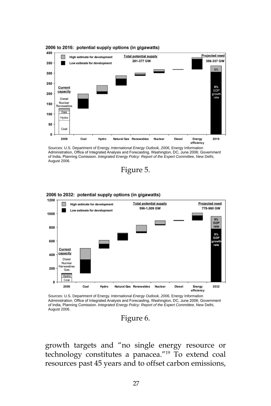



Sources: U.S. Department of Energy. *International Energy Outlook, 2006,* Energy Information Administration, Office of Integrated Analysis and Forecasting, Washington, DC, June 2006; Government of India, Planning Comission. *Integrated Energy Policy: Report of the Expert Committee*, New Delhi, August 2006.





2006 to 2032: potential supply options (in gigawatts)

Sources: U.S. Department of Energy. *International Energy Outlook, 2006,* Energy Information Administration, Office of Integrated Analysis and Forecasting, Washington, DC, June 2006; Government of India, Planning Comission. *Integrated Energy Policy: Report of the Expert Committee*, New Delhi, August 2006.

Figure 6.

growth targets and "no single energy resource or technology constitutes a panacea."19 To extend coal resources past 45 years and to offset carbon emissions,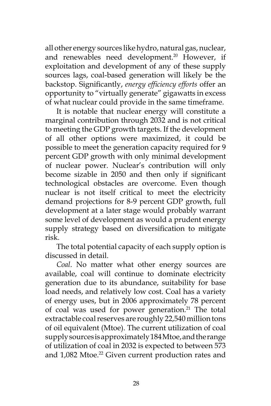all other energy sources like hydro, natural gas, nuclear, and renewables need development.<sup>20</sup> However, if exploitation and development of any of these supply sources lags, coal-based generation will likely be the backstop. Significantly, *energy efficiency efforts* offer an opportunity to "virtually generate" gigawatts in excess of what nuclear could provide in the same timeframe.

It is notable that nuclear energy will constitute a marginal contribution through 2032 and is not critical to meeting the GDP growth targets. If the development of all other options were maximized, it could be possible to meet the generation capacity required for 9 percent GDP growth with only minimal development of nuclear power. Nuclear's contribution will only become sizable in 2050 and then only if significant technological obstacles are overcome. Even though nuclear is not itself critical to meet the electricity demand projections for 8-9 percent GDP growth, full development at a later stage would probably warrant some level of development as would a prudent energy supply strategy based on diversification to mitigate risk.

The total potential capacity of each supply option is discussed in detail.

*Coal*. No matter what other energy sources are available, coal will continue to dominate electricity generation due to its abundance, suitability for base load needs, and relatively low cost. Coal has a variety of energy uses, but in 2006 approximately 78 percent of coal was used for power generation.<sup>21</sup> The total extractable coal reserves are roughly 22,540 million tons of oil equivalent (Mtoe). The current utilization of coal supply sources is approximately 184 Mtoe, and the range of utilization of coal in 2032 is expected to between 573 and 1,082 Mtoe.<sup>22</sup> Given current production rates and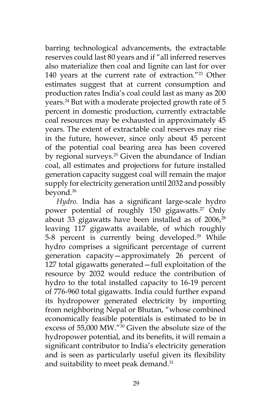barring technological advancements, the extractable reserves could last 80 years and if "all inferred reserves also materialize then coal and lignite can last for over 140 years at the current rate of extraction."23 Other estimates suggest that at current consumption and production rates India's coal could last as many as 200 years.<sup>24</sup> But with a moderate projected growth rate of 5 percent in domestic production, currently extractable coal resources may be exhausted in approximately 45 years. The extent of extractable coal reserves may rise in the future, however, since only about 45 percent of the potential coal bearing area has been covered by regional surveys.<sup>25</sup> Given the abundance of Indian coal, all estimates and projections for future installed generation capacity suggest coal will remain the major supply for electricity generation until 2032 and possibly beyond.26

*Hydro*. India has a significant large-scale hydro power potential of roughly 150 gigawatts.<sup>27</sup> Only about 33 gigawatts have been installed as of  $2006<sub>28</sub>$ leaving 117 gigawatts available, of which roughly 5-8 percent is currently being developed.<sup>29</sup> While hydro comprises a significant percentage of current generation capacity—approximately 26 percent of 127 total gigawatts generated—full exploitation of the resource by 2032 would reduce the contribution of hydro to the total installed capacity to 16-19 percent of 776-960 total gigawatts. India could further expand its hydropower generated electricity by importing from neighboring Nepal or Bhutan, "whose combined economically feasible potentials is estimated to be in excess of 55,000 MW."30 Given the absolute size of the hydropower potential, and its benefits, it will remain a significant contributor to India's electricity generation and is seen as particularly useful given its flexibility and suitability to meet peak demand.<sup>31</sup>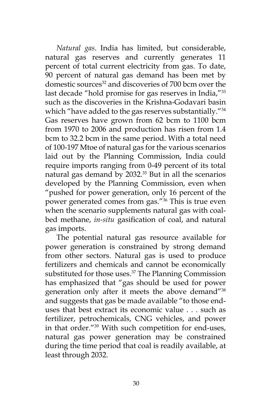*Natural gas*. India has limited, but considerable, natural gas reserves and currently generates 11 percent of total current electricity from gas. To date, 90 percent of natural gas demand has been met by domestic sources<sup>32</sup> and discoveries of 700 bcm over the last decade "hold promise for gas reserves in India,"<sup>33</sup> such as the discoveries in the Krishna-Godavari basin which "have added to the gas reserves substantially."<sup>34</sup> Gas reserves have grown from 62 bcm to 1100 bcm from 1970 to 2006 and production has risen from 1.4 bcm to 32.2 bcm in the same period. With a total need of 100-197 Mtoe of natural gas for the various scenarios laid out by the Planning Commission, India could require imports ranging from 0-49 percent of its total natural gas demand by 2032.35 But in all the scenarios developed by the Planning Commission, even when "pushed for power generation, only 16 percent of the power generated comes from gas."36 This is true even when the scenario supplements natural gas with coalbed methane, *in-situ* gasification of coal, and natural gas imports.

The potential natural gas resource available for power generation is constrained by strong demand from other sectors. Natural gas is used to produce fertilizers and chemicals and cannot be economically substituted for those uses.<sup>37</sup> The Planning Commission has emphasized that "gas should be used for power generation only after it meets the above demand"38 and suggests that gas be made available "to those enduses that best extract its economic value . . . such as fertilizer, petrochemicals, CNG vehicles, and power in that order."39 With such competition for end-uses, natural gas power generation may be constrained during the time period that coal is readily available, at least through 2032.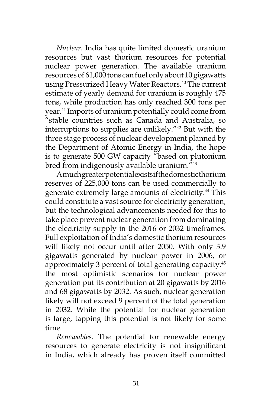*Nuclear*. India has quite limited domestic uranium resources but vast thorium resources for potential nuclear power generation. The available uranium resources of 61,000 tons can fuel only about 10 gigawatts using Pressurized Heavy Water Reactors.<sup>40</sup> The current estimate of yearly demand for uranium is roughly 475 tons, while production has only reached 300 tons per year.41 Imports of uranium potentially could come from "stable countries such as Canada and Australia, so interruptions to supplies are unlikely."42 But with the three stage process of nuclear development planned by the Department of Atomic Energy in India, the hope is to generate 500 GW capacity "based on plutonium bred from indigenously available uranium."<sup>43</sup>

A much greater potential exists if the domestic thorium reserves of 225,000 tons can be used commercially to generate extremely large amounts of electricity.<sup>44</sup> This could constitute a vast source for electricity generation, but the technological advancements needed for this to take place prevent nuclear generation from dominating the electricity supply in the 2016 or 2032 timeframes. Full exploitation of India's domestic thorium resources will likely not occur until after 2050. With only 3.9 gigawatts generated by nuclear power in 2006, or approximately 3 percent of total generating capacity, $45$ the most optimistic scenarios for nuclear power generation put its contribution at 20 gigawatts by 2016 and 68 gigawatts by 2032. As such, nuclear generation likely will not exceed 9 percent of the total generation in 2032. While the potential for nuclear generation is large, tapping this potential is not likely for some time.

*Renewables*. The potential for renewable energy resources to generate electricity is not insignificant in India, which already has proven itself committed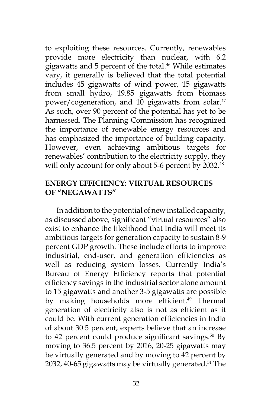to exploiting these resources. Currently, renewables provide more electricity than nuclear, with 6.2 gigawatts and 5 percent of the total.<sup>46</sup> While estimates vary, it generally is believed that the total potential includes 45 gigawatts of wind power, 15 gigawatts from small hydro, 19.85 gigawatts from biomass power/cogeneration, and 10 gigawatts from solar.<sup>47</sup> As such, over 90 percent of the potential has yet to be harnessed. The Planning Commission has recognized the importance of renewable energy resources and has emphasized the importance of building capacity. However, even achieving ambitious targets for renewables' contribution to the electricity supply, they will only account for only about 5-6 percent by 2032.<sup>48</sup>

## **ENERGY EFFICIENCY: VIRTUAL RESOURCES OF "NEGAWATTS"**

In addition to the potential of new installed capacity, as discussed above, significant "virtual resources" also exist to enhance the likelihood that India will meet its ambitious targets for generation capacity to sustain 8-9 percent GDP growth. These include efforts to improve industrial, end-user, and generation efficiencies as well as reducing system losses. Currently India's Bureau of Energy Efficiency reports that potential efficiency savings in the industrial sector alone amount to 15 gigawatts and another 3-5 gigawatts are possible by making households more efficient.<sup>49</sup> Thermal generation of electricity also is not as efficient as it could be. With current generation efficiencies in India of about 30.5 percent, experts believe that an increase to 42 percent could produce significant savings. $50$  By moving to 36.5 percent by 2016, 20-25 gigawatts may be virtually generated and by moving to 42 percent by 2032, 40-65 gigawatts may be virtually generated.<sup>51</sup> The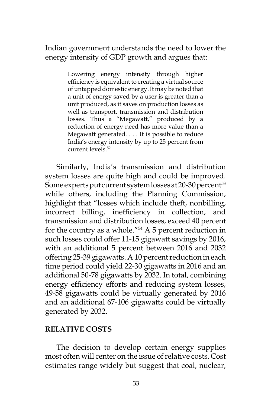Indian government understands the need to lower the energy intensity of GDP growth and argues that:

> Lowering energy intensity through higher efficiency is equivalent to creating a virtual source of untapped domestic energy. It may be noted that a unit of energy saved by a user is greater than a unit produced, as it saves on production losses as well as transport, transmission and distribution losses. Thus a "Megawatt," produced by a reduction of energy need has more value than a Megawatt generated. . . . It is possible to reduce India's energy intensity by up to 25 percent from current levels.52

Similarly, India's transmission and distribution system losses are quite high and could be improved. Some experts put current system losses at 20-30 percent<sup>53</sup> while others, including the Planning Commission, highlight that "losses which include theft, nonbilling, incorrect billing, inefficiency in collection, and transmission and distribution losses, exceed 40 percent for the country as a whole." $54$  A 5 percent reduction in such losses could offer 11-15 gigawatt savings by 2016, with an additional 5 percent between 2016 and 2032 offering 25-39 gigawatts. A 10 percent reduction in each time period could yield 22-30 gigawatts in 2016 and an additional 50-78 gigawatts by 2032. In total, combining energy efficiency efforts and reducing system losses, 49-58 gigawatts could be virtually generated by 2016 and an additional 67-106 gigawatts could be virtually generated by 2032.

## **RELATIVE COSTS**

The decision to develop certain energy supplies most often will center on the issue of relative costs. Cost estimates range widely but suggest that coal, nuclear,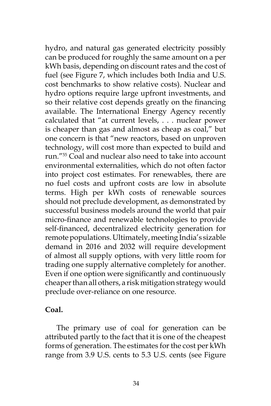hydro, and natural gas generated electricity possibly can be produced for roughly the same amount on a per kWh basis, depending on discount rates and the cost of fuel (see Figure 7, which includes both India and U.S. cost benchmarks to show relative costs). Nuclear and hydro options require large upfront investments, and so their relative cost depends greatly on the financing available. The International Energy Agency recently calculated that "at current levels, . . . nuclear power is cheaper than gas and almost as cheap as coal," but one concern is that "new reactors, based on unproven technology, will cost more than expected to build and run."55 Coal and nuclear also need to take into account environmental externalities, which do not often factor into project cost estimates. For renewables, there are no fuel costs and upfront costs are low in absolute terms. High per kWh costs of renewable sources should not preclude development, as demonstrated by successful business models around the world that pair micro-finance and renewable technologies to provide self-financed, decentralized electricity generation for remote populations. Ultimately, meeting India's sizable demand in 2016 and 2032 will require development of almost all supply options, with very little room for trading one supply alternative completely for another. Even if one option were significantly and continuously cheaper than all others, a risk mitigation strategy would preclude over-reliance on one resource.

## **Coal.**

The primary use of coal for generation can be attributed partly to the fact that it is one of the cheapest forms of generation. The estimates for the cost per kWh range from 3.9 U.S. cents to 5.3 U.S. cents (see Figure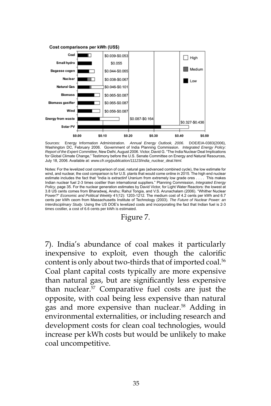

Sources: Energy Information Administration. *Annual Energy Outlook, 2006*. DOE/EIA-0383(2006), Washington DC, February 2006. Government of India Planning Commission. *Integrated Energy Policy: Report of the Expert Committee*, New Delhi, August 2006. Victor, David G. "The India Nuclear Deal Implications for Global Climate Change," Testimony before the U.S. Senate Committee on Energy and Natural Resources, July 18, 2006. Available at: *www.cfr.org/publication/11123/india\_nuclear\_deal.html.*

Notes: For the levelized cost comparison of coal, natural gas (advanced combined cycle), the low estimate for wind, and nuclear, the cost comparison is for U.S. plants that would come online in 2015. The high end nuclear estimate includes the fact that "India is extractinf Uranium from extremely low grade ores . . . . This makes Indian nuclear fuel 2-3 times costlier than international suppliers." Planning Commission, *Integrated Energy Policy*, page 35. For the nuclear generation estimates by David Victor, for Light Water Reactors: the lowest at 3.8 US cents comes from Bharadwaj, Anshu; Rahul Tongia, and V.S. Arunachalam (2006). "Whither Nuclear Power?" *Economic and Political Weekly* 41(12): 1203-1212. The medium cost of 4.2 cents per kWh and 6.7 cents per kWh ceom from Massachusetts Institute of Technology (2003). *The Future of Nuclear Power: an Interdisciplinary Study*. Using the US DOE's levelized costs and incorporating the fact that Indian fuel is 2-3 times costlier, a cost of 6.6 cents per kWh is estimated.

#### Figure 7.

7). India's abundance of coal makes it particularly inexpensive to exploit, even though the calorific content is only about two-thirds that of imported coal.<sup>56</sup> Coal plant capital costs typically are more expensive than natural gas, but are significantly less expensive than nuclear.57 Comparative fuel costs are just the opposite, with coal being less expensive than natural gas and more expensive than nuclear.58 Adding in environmental externalities, or including research and development costs for clean coal technologies, would increase per kWh costs but would be unlikely to make coal uncompetitive.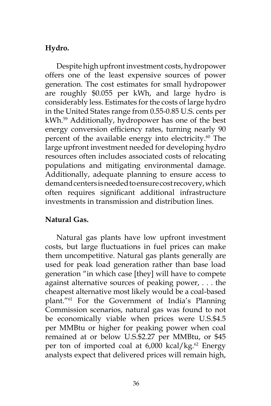# **Hydro.**

Despite high upfront investment costs, hydropower offers one of the least expensive sources of power generation. The cost estimates for small hydropower are roughly \$0.055 per kWh, and large hydro is considerably less. Estimates for the costs of large hydro in the United States range from 0.55-0.85 U.S. cents per kWh.59 Additionally, hydropower has one of the best energy conversion efficiency rates, turning nearly 90 percent of the available energy into electricity.<sup>60</sup> The large upfront investment needed for developing hydro resources often includes associated costs of relocating populations and mitigating environmental damage. Additionally, adequate planning to ensure access to demand centers is needed to ensure cost recovery, which often requires significant additional infrastructure investments in transmission and distribution lines.

## **Natural Gas.**

Natural gas plants have low upfront investment costs, but large fluctuations in fuel prices can make them uncompetitive. Natural gas plants generally are used for peak load generation rather than base load generation "in which case [they] will have to compete against alternative sources of peaking power, . . . the cheapest alternative most likely would be a coal-based plant."61 For the Government of India's Planning Commission scenarios, natural gas was found to not be economically viable when prices were U.S.\$4.5 per MMBtu or higher for peaking power when coal remained at or below U.S.\$2.27 per MMBtu, or \$45 per ton of imported coal at  $6,000$  kcal/kg.<sup>62</sup> Energy analysts expect that delivered prices will remain high,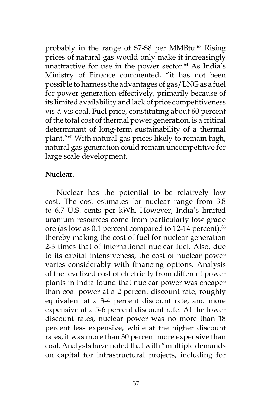probably in the range of \$7-\$8 per MMBtu.<sup>63</sup> Rising prices of natural gas would only make it increasingly unattractive for use in the power sector. $64$  As India's Ministry of Finance commented, "it has not been possible to harness the advantages of gas/LNG as a fuel for power generation effectively, primarily because of its limited availability and lack of price competitiveness vis-à-vis coal. Fuel price, constituting about 60 percent of the total cost of thermal power generation, is a critical determinant of long-term sustainability of a thermal plant."65 With natural gas prices likely to remain high, natural gas generation could remain uncompetitive for large scale development.

## **Nuclear.**

Nuclear has the potential to be relatively low cost. The cost estimates for nuclear range from 3.8 to 6.7 U.S. cents per kWh. However, India's limited uranium resources come from particularly low grade ore (as low as  $0.1$  percent compared to 12-14 percent), $66$ thereby making the cost of fuel for nuclear generation 2-3 times that of international nuclear fuel. Also, due to its capital intensiveness, the cost of nuclear power varies considerably with financing options. Analysis of the levelized cost of electricity from different power plants in India found that nuclear power was cheaper than coal power at a 2 percent discount rate, roughly equivalent at a 3-4 percent discount rate, and more expensive at a 5-6 percent discount rate. At the lower discount rates, nuclear power was no more than 18 percent less expensive, while at the higher discount rates, it was more than 30 percent more expensive than coal. Analysts have noted that with "multiple demands on capital for infrastructural projects, including for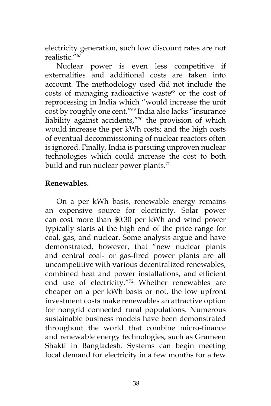electricity generation, such low discount rates are not realistic."67

Nuclear power is even less competitive if externalities and additional costs are taken into account. The methodology used did not include the costs of managing radioactive waste<sup>68</sup> or the cost of reprocessing in India which "would increase the unit cost by roughly one cent."69 India also lacks "insurance liability against accidents,"70 the provision of which would increase the per kWh costs; and the high costs of eventual decommissioning of nuclear reactors often is ignored. Finally, India is pursuing unproven nuclear technologies which could increase the cost to both build and run nuclear power plants.<sup>71</sup>

## **Renewables.**

On a per kWh basis, renewable energy remains an expensive source for electricity. Solar power can cost more than \$0.30 per kWh and wind power typically starts at the high end of the price range for coal, gas, and nuclear. Some analysts argue and have demonstrated, however, that "new nuclear plants and central coal- or gas-fired power plants are all uncompetitive with various decentralized renewables, combined heat and power installations, and efficient end use of electricity."72 Whether renewables are cheaper on a per kWh basis or not, the low upfront investment costs make renewables an attractive option for nongrid connected rural populations. Numerous sustainable business models have been demonstrated throughout the world that combine micro-finance and renewable energy technologies, such as Grameen Shakti in Bangladesh. Systems can begin meeting local demand for electricity in a few months for a few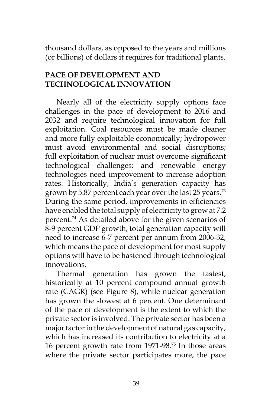thousand dollars, as opposed to the years and millions (or billions) of dollars it requires for traditional plants.

## **PACE OF DEVELOPMENT AND TECHNOLOGICAL INNOVATION**

Nearly all of the electricity supply options face challenges in the pace of development to 2016 and 2032 and require technological innovation for full exploitation. Coal resources must be made cleaner and more fully exploitable economically; hydropower must avoid environmental and social disruptions; full exploitation of nuclear must overcome significant technological challenges; and renewable energy technologies need improvement to increase adoption rates. Historically, India's generation capacity has grown by 5.87 percent each year over the last 25 years.<sup>73</sup> During the same period, improvements in efficiencies have enabled the total supply of electricity to grow at 7.2 percent.74 As detailed above for the given scenarios of 8-9 percent GDP growth, total generation capacity will need to increase 6-7 percent per annum from 2006-32, which means the pace of development for most supply options will have to be hastened through technological innovations.

Thermal generation has grown the fastest, historically at 10 percent compound annual growth rate (CAGR) (see Figure 8), while nuclear generation has grown the slowest at 6 percent. One determinant of the pace of development is the extent to which the private sector is involved. The private sector has been a major factor in the development of natural gas capacity, which has increased its contribution to electricity at a 16 percent growth rate from 1971-98.75 In those areas where the private sector participates more, the pace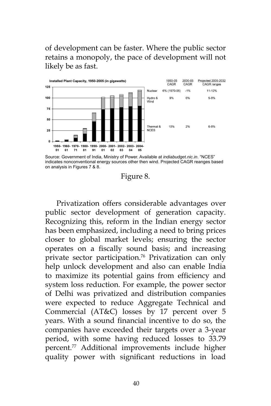of development can be faster. Where the public sector retains a monopoly, the pace of development will not likely be as fast.



Source: Government of India, Ministry of Power. Available at *indiabudget.nic.in*. "NCES" indicates nonconventional energy sources other then wind. Projected CAGR reanges based on analysis in Figures 7 & 8.

Figure 8.

Privatization offers considerable advantages over public sector development of generation capacity. Recognizing this, reform in the Indian energy sector has been emphasized, including a need to bring prices closer to global market levels; ensuring the sector operates on a fiscally sound basis; and increasing private sector participation.76 Privatization can only help unlock development and also can enable India to maximize its potential gains from efficiency and system loss reduction. For example, the power sector of Delhi was privatized and distribution companies were expected to reduce Aggregate Technical and Commercial (AT&C) losses by 17 percent over 5 years. With a sound financial incentive to do so, the companies have exceeded their targets over a 3-year period, with some having reduced losses to 33.79 percent.77 Additional improvements include higher quality power with significant reductions in load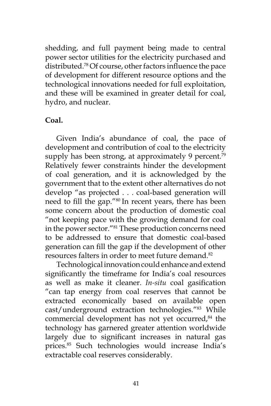shedding, and full payment being made to central power sector utilities for the electricity purchased and distributed.78 Of course, other factors influence the pace of development for different resource options and the technological innovations needed for full exploitation, and these will be examined in greater detail for coal, hydro, and nuclear.

### **Coal.**

Given India's abundance of coal, the pace of development and contribution of coal to the electricity supply has been strong, at approximately 9 percent.<sup>79</sup> Relatively fewer constraints hinder the development of coal generation, and it is acknowledged by the government that to the extent other alternatives do not develop "as projected . . . coal-based generation will need to fill the gap."80 In recent years, there has been some concern about the production of domestic coal "not keeping pace with the growing demand for coal in the power sector."81 These production concerns need to be addressed to ensure that domestic coal-based generation can fill the gap if the development of other resources falters in order to meet future demand.82

Technological innovation could enhance and extend significantly the timeframe for India's coal resources as well as make it cleaner. *In-situ* coal gasification "can tap energy from coal reserves that cannot be extracted economically based on available open cast/underground extraction technologies."<sup>83</sup> While commercial development has not yet occurred,<sup>84</sup> the technology has garnered greater attention worldwide largely due to significant increases in natural gas prices.85 Such technologies would increase India's extractable coal reserves considerably.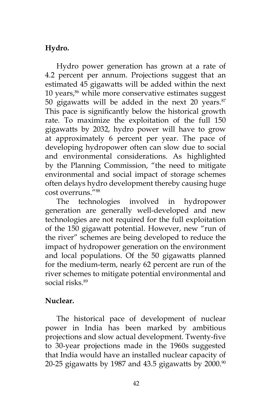# **Hydro.**

Hydro power generation has grown at a rate of 4.2 percent per annum. Projections suggest that an estimated 45 gigawatts will be added within the next 10 years,<sup>86</sup> while more conservative estimates suggest 50 gigawatts will be added in the next 20 years. $87$ This pace is significantly below the historical growth rate. To maximize the exploitation of the full 150 gigawatts by 2032, hydro power will have to grow at approximately 6 percent per year. The pace of developing hydropower often can slow due to social and environmental considerations. As highlighted by the Planning Commission, "the need to mitigate environmental and social impact of storage schemes often delays hydro development thereby causing huge cost overruns."88

The technologies involved in hydropower generation are generally well-developed and new technologies are not required for the full exploitation of the 150 gigawatt potential. However, new "run of the river" schemes are being developed to reduce the impact of hydropower generation on the environment and local populations. Of the 50 gigawatts planned for the medium-term, nearly 62 percent are run of the river schemes to mitigate potential environmental and social risks.<sup>89</sup>

## **Nuclear.**

The historical pace of development of nuclear power in India has been marked by ambitious projections and slow actual development. Twenty-five to 30-year projections made in the 1960s suggested that India would have an installed nuclear capacity of 20-25 gigawatts by 1987 and 43.5 gigawatts by  $2000$ .<sup>90</sup>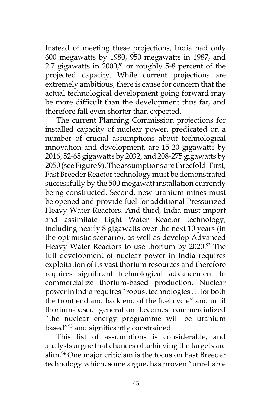Instead of meeting these projections, India had only 600 megawatts by 1980, 950 megawatts in 1987, and 2.7 gigawatts in  $2000<sup>91</sup>$  or roughly 5-8 percent of the projected capacity. While current projections are extremely ambitious, there is cause for concern that the actual technological development going forward may be more difficult than the development thus far, and therefore fall even shorter than expected.

The current Planning Commission projections for installed capacity of nuclear power, predicated on a number of crucial assumptions about technological innovation and development, are 15-20 gigawatts by 2016, 52-68 gigawatts by 2032, and 208-275 gigawatts by 2050 (see Figure 9). The assumptions are threefold. First, Fast Breeder Reactor technology must be demonstrated successfully by the 500 megawatt installation currently being constructed. Second, new uranium mines must be opened and provide fuel for additional Pressurized Heavy Water Reactors. And third, India must import and assimilate Light Water Reactor technology, including nearly 8 gigawatts over the next 10 years (in the optimistic scenario), as well as develop Advanced Heavy Water Reactors to use thorium by 2020.<sup>92</sup> The full development of nuclear power in India requires exploitation of its vast thorium resources and therefore requires significant technological advancement to commercialize thorium-based production. Nuclear power in India requires "robust technologies . . . for both the front end and back end of the fuel cycle" and until thorium-based generation becomes commercialized "the nuclear energy programme will be uranium based"<sup>93</sup> and significantly constrained.

This list of assumptions is considerable, and analysts argue that chances of achieving the targets are slim.<sup>94</sup> One major criticism is the focus on Fast Breeder technology which, some argue, has proven "unreliable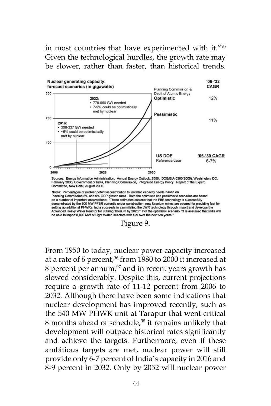## in most countries that have experimented with it."95 Given the technological hurdles, the growth rate may be slower, rather than faster, than historical trends.







From 1950 to today, nuclear power capacity increased at a rate of 6 percent, $96$  from 1980 to 2000 it increased at 8 percent per annum, $97$  and in recent years growth has slowed considerably. Despite this, current projections require a growth rate of 11-12 percent from 2006 to 2032. Although there have been some indications that nuclear development has improved recently, such as the 540 MW PHWR unit at Tarapur that went critical 8 months ahead of schedule,<sup>98</sup> it remains unlikely that development will outpace historical rates significantly and achieve the targets. Furthermore, even if these ambitious targets are met, nuclear power will still provide only 6-7 percent of India's capacity in 2016 and 8-9 percent in 2032. Only by 2052 will nuclear power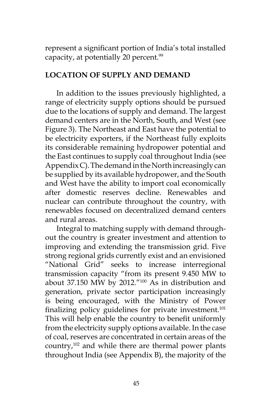represent a significant portion of India's total installed capacity, at potentially 20 percent.<sup>99</sup>

## **LOCATION OF SUPPLY AND DEMAND**

In addition to the issues previously highlighted, a range of electricity supply options should be pursued due to the locations of supply and demand. The largest demand centers are in the North, South, and West (see Figure 3). The Northeast and East have the potential to be electricity exporters, if the Northeast fully exploits its considerable remaining hydropower potential and the East continues to supply coal throughout India (see Appendix C). The demand in the North increasingly can be supplied by its available hydropower, and the South and West have the ability to import coal economically after domestic reserves decline. Renewables and nuclear can contribute throughout the country, with renewables focused on decentralized demand centers and rural areas.

Integral to matching supply with demand throughout the country is greater investment and attention to improving and extending the transmission grid. Five strong regional grids currently exist and an envisioned "National Grid" seeks to increase interregional transmission capacity "from its present 9.450 MW to about 37.150 MW by 2012."<sup>100</sup> As in distribution and generation, private sector participation increasingly is being encouraged, with the Ministry of Power finalizing policy guidelines for private investment.<sup>101</sup> This will help enable the country to benefit uniformly from the electricity supply options available. In the case of coal, reserves are concentrated in certain areas of the country,102 and while there are thermal power plants throughout India (see Appendix B), the majority of the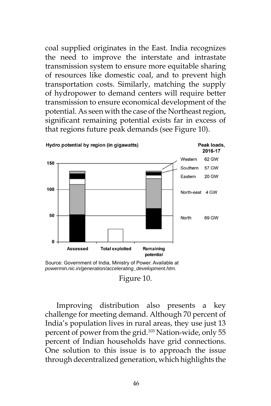coal supplied originates in the East. India recognizes the need to improve the interstate and intrastate transmission system to ensure more equitable sharing of resources like domestic coal, and to prevent high transportation costs. Similarly, matching the supply of hydropower to demand centers will require better transmission to ensure economical development of the potential. As seen with the case of the Northeast region, significant remaining potential exists far in excess of that regions future peak demands (see Figure 10).



Source: Government of India, Ministry of Power. Available at *powermin.nic.in/generation/accelerating\_development.htm.*

Improving distribution also presents a key challenge for meeting demand. Although 70 percent of India's population lives in rural areas, they use just 13 percent of power from the grid.103 Nation-wide, only 55 percent of Indian households have grid connections. One solution to this issue is to approach the issue through decentralized generation, which highlights the

Figure 10.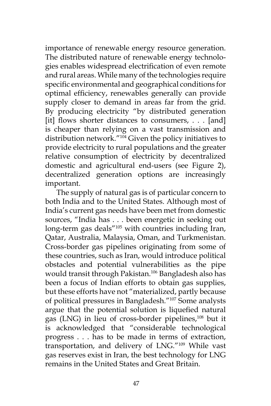importance of renewable energy resource generation. The distributed nature of renewable energy technologies enables widespread electrification of even remote and rural areas. While many of the technologies require specific environmental and geographical conditions for optimal efficiency, renewables generally can provide supply closer to demand in areas far from the grid. By producing electricity "by distributed generation [it] flows shorter distances to consumers, . . . [and] is cheaper than relying on a vast transmission and distribution network."104 Given the policy initiatives to provide electricity to rural populations and the greater relative consumption of electricity by decentralized domestic and agricultural end-users (see Figure 2), decentralized generation options are increasingly important.

The supply of natural gas is of particular concern to both India and to the United States. Although most of India's current gas needs have been met from domestic sources, "India has . . . been energetic in seeking out long-term gas deals"<sup>105</sup> with countries including Iran, Qatar, Australia, Malaysia, Oman, and Turkmenistan. Cross-border gas pipelines originating from some of these countries, such as Iran, would introduce political obstacles and potential vulnerabilities as the pipe would transit through Pakistan.106 Bangladesh also has been a focus of Indian efforts to obtain gas supplies, but these efforts have not "materialized, partly because of political pressures in Bangladesh."107 Some analysts argue that the potential solution is liquefied natural gas (LNG) in lieu of cross-border pipelines,108 but it is acknowledged that "considerable technological progress . . . has to be made in terms of extraction, transportation, and delivery of LNG."109 While vast gas reserves exist in Iran, the best technology for LNG remains in the United States and Great Britain.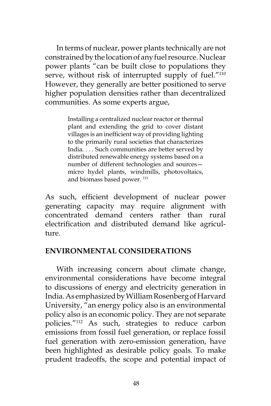In terms of nuclear, power plants technically are not constrained by the location of any fuel resource. Nuclear power plants "can be built close to populations they serve, without risk of interrupted supply of fuel."<sup>110</sup> However, they generally are better positioned to serve higher population densities rather than decentralized communities. As some experts argue,

> Installing a centralized nuclear reactor or thermal plant and extending the grid to cover distant villages is an inefficient way of providing lighting to the primarily rural societies that characterizes India. . . . Such communities are better served by distributed renewable energy systems based on a number of different technologies and sources micro hydel plants, windmills, photovoltaics, and biomass based power.<sup>111</sup>

As such, efficient development of nuclear power generating capacity may require alignment with concentrated demand centers rather than rural electrification and distributed demand like agriculture.

#### **ENVIRONMENTAL CONSIDERATIONS**

With increasing concern about climate change, environmental considerations have become integral to discussions of energy and electricity generation in India. As emphasized by William Rosenberg of Harvard University, "an energy policy also is an environmental policy also is an economic policy. They are not separate policies."112 As such, strategies to reduce carbon emissions from fossil fuel generation, or replace fossil fuel generation with zero-emission generation, have been highlighted as desirable policy goals. To make prudent tradeoffs, the scope and potential impact of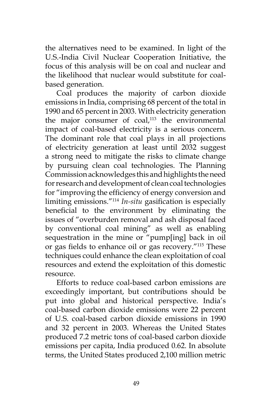the alternatives need to be examined. In light of the U.S.-India Civil Nuclear Cooperation Initiative, the focus of this analysis will be on coal and nuclear and the likelihood that nuclear would substitute for coalbased generation.

Coal produces the majority of carbon dioxide emissions in India, comprising 68 percent of the total in 1990 and 65 percent in 2003. With electricity generation the major consumer of  $coal<sub>113</sub>$  the environmental impact of coal-based electricity is a serious concern. The dominant role that coal plays in all projections of electricity generation at least until 2032 suggest a strong need to mitigate the risks to climate change by pursuing clean coal technologies. The Planning Commission acknowledges this and highlights the need for research and development of clean coal technologies for "improving the efficiency of energy conversion and limiting emissions."114 *In-situ* gasification is especially beneficial to the environment by eliminating the issues of "overburden removal and ash disposal faced by conventional coal mining" as well as enabling sequestration in the mine or "pump[ing] back in oil or gas fields to enhance oil or gas recovery."115 These techniques could enhance the clean exploitation of coal resources and extend the exploitation of this domestic resource.

Efforts to reduce coal-based carbon emissions are exceedingly important, but contributions should be put into global and historical perspective. India's coal-based carbon dioxide emissions were 22 percent of U.S. coal-based carbon dioxide emissions in 1990 and 32 percent in 2003. Whereas the United States produced 7.2 metric tons of coal-based carbon dioxide emissions per capita, India produced 0.62. In absolute terms, the United States produced 2,100 million metric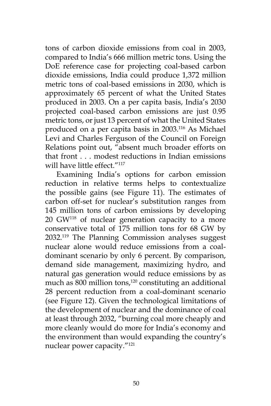tons of carbon dioxide emissions from coal in 2003, compared to India's 666 million metric tons. Using the DoE reference case for projecting coal-based carbon dioxide emissions, India could produce 1,372 million metric tons of coal-based emissions in 2030, which is approximately 65 percent of what the United States produced in 2003. On a per capita basis, India's 2030 projected coal-based carbon emissions are just 0.95 metric tons, or just 13 percent of what the United States produced on a per capita basis in 2003.116 As Michael Levi and Charles Ferguson of the Council on Foreign Relations point out, "absent much broader efforts on that front . . . modest reductions in Indian emissions will have little effect."<sup>117</sup>

Examining India's options for carbon emission reduction in relative terms helps to contextualize the possible gains (see Figure 11). The estimates of carbon off-set for nuclear's substitution ranges from 145 million tons of carbon emissions by developing 20 GW<sup>118</sup> of nuclear generation capacity to a more conservative total of 175 million tons for 68 GW by 2032.119 The Planning Commission analyses suggest nuclear alone would reduce emissions from a coaldominant scenario by only 6 percent. By comparison, demand side management, maximizing hydro, and natural gas generation would reduce emissions by as much as  $800$  million tons,<sup>120</sup> constituting an additional 28 percent reduction from a coal-dominant scenario (see Figure 12). Given the technological limitations of the development of nuclear and the dominance of coal at least through 2032, "burning coal more cheaply and more cleanly would do more for India's economy and the environment than would expanding the country's nuclear power capacity."121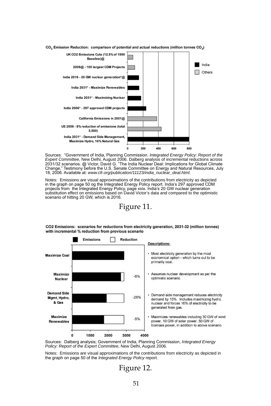

CO<sub>2</sub> Emission Reduction: comparison of potential and actual reductions (million tonnes CO<sub>2</sub>)

Sources: "Government of India, Planning Commission. *Integrated Energy Policy: Report of the Expert Committee*, New Delhi, August 2006. Dalberg analysis of incremental reductions across<br>2031/32 scenarios. @ Victor, David G. "The India Nuclear Deal: Implications for Global Climate<br>Change," Testimony before the U.S 18, 2006. Available at: *www.cfr.org/publication/11123/india\_nuclear\_deal.html.*

Notes: Emissions are visual approximations of the contributions from electricity as depicted in the graph on page 50 og the Integrated Energy Policy report. India's 297 approved CDM projects from the Integrated Energy Policy, page xxix. India's 20 GW nuclear generation substitution effect on emissions based on David Victor's data and compared to the optimistic scenario of hitting 20 GW, which is 2016.

### Figure 11.



CO2 Emissions: scenarios for reductions from electricity generation, 2031-32 (million tonnes) with incremental % reduction from previous scenario

Sources: Dalberg analysis; Government of India, Planning Commission, *Integrated Energy Policy: Report of the Expert Committee*, New Delhi, August 2006.

Notes: Emissions are visual approximations of the contributions from electricity as depicted in the graph on page 50 of the *Integrated Energy Policy* report.

Figure 12.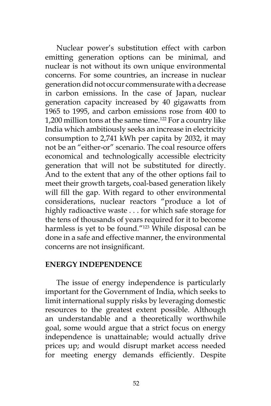Nuclear power's substitution effect with carbon emitting generation options can be minimal, and nuclear is not without its own unique environmental concerns. For some countries, an increase in nuclear generation did not occur commensurate with a decrease in carbon emissions. In the case of Japan, nuclear generation capacity increased by 40 gigawatts from 1965 to 1995, and carbon emissions rose from 400 to 1,200 million tons at the same time.<sup>122</sup> For a country like India which ambitiously seeks an increase in electricity consumption to 2,741 kWh per capita by 2032, it may not be an "either-or" scenario. The coal resource offers economical and technologically accessible electricity generation that will not be substituted for directly. And to the extent that any of the other options fail to meet their growth targets, coal-based generation likely will fill the gap. With regard to other environmental considerations, nuclear reactors "produce a lot of highly radioactive waste . . . for which safe storage for the tens of thousands of years required for it to become harmless is yet to be found."<sup>123</sup> While disposal can be done in a safe and effective manner, the environmental concerns are not insignificant.

#### **ENERGY INDEPENDENCE**

The issue of energy independence is particularly important for the Government of India, which seeks to limit international supply risks by leveraging domestic resources to the greatest extent possible. Although an understandable and a theoretically worthwhile goal, some would argue that a strict focus on energy independence is unattainable; would actually drive prices up; and would disrupt market access needed for meeting energy demands efficiently. Despite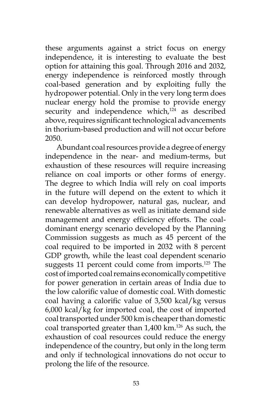these arguments against a strict focus on energy independence, it is interesting to evaluate the best option for attaining this goal. Through 2016 and 2032, energy independence is reinforced mostly through coal-based generation and by exploiting fully the hydropower potential. Only in the very long term does nuclear energy hold the promise to provide energy security and independence which, $124$  as described above, requires significant technological advancements in thorium-based production and will not occur before 2050.

Abundant coal resources provide a degree of energy independence in the near- and medium-terms, but exhaustion of these resources will require increasing reliance on coal imports or other forms of energy. The degree to which India will rely on coal imports in the future will depend on the extent to which it can develop hydropower, natural gas, nuclear, and renewable alternatives as well as initiate demand side management and energy efficiency efforts. The coaldominant energy scenario developed by the Planning Commission suggests as much as 45 percent of the coal required to be imported in 2032 with 8 percent GDP growth, while the least coal dependent scenario suggests 11 percent could come from imports.<sup>125</sup> The cost of imported coal remains economically competitive for power generation in certain areas of India due to the low calorific value of domestic coal. With domestic coal having a calorific value of 3,500 kcal/kg versus 6,000 kcal/kg for imported coal, the cost of imported coal transported under 500 km is cheaper than domestic coal transported greater than 1,400 km.<sup>126</sup> As such, the exhaustion of coal resources could reduce the energy independence of the country, but only in the long term and only if technological innovations do not occur to prolong the life of the resource.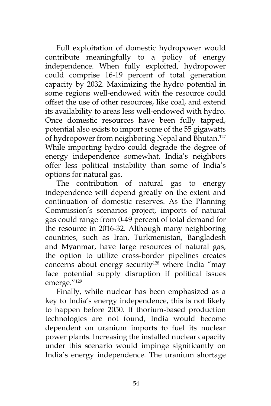Full exploitation of domestic hydropower would contribute meaningfully to a policy of energy independence. When fully exploited, hydropower could comprise 16-19 percent of total generation capacity by 2032. Maximizing the hydro potential in some regions well-endowed with the resource could offset the use of other resources, like coal, and extend its availability to areas less well-endowed with hydro. Once domestic resources have been fully tapped, potential also exists to import some of the 55 gigawatts of hydropower from neighboring Nepal and Bhutan.<sup>127</sup> While importing hydro could degrade the degree of energy independence somewhat, India's neighbors offer less political instability than some of India's options for natural gas.

The contribution of natural gas to energy independence will depend greatly on the extent and continuation of domestic reserves. As the Planning Commission's scenarios project, imports of natural gas could range from 0-49 percent of total demand for the resource in 2016-32. Although many neighboring countries, such as Iran, Turkmenistan, Bangladesh and Myanmar, have large resources of natural gas, the option to utilize cross-border pipelines creates concerns about energy security<sup>128</sup> where India "may face potential supply disruption if political issues emerge."129

Finally, while nuclear has been emphasized as a key to India's energy independence, this is not likely to happen before 2050. If thorium-based production technologies are not found, India would become dependent on uranium imports to fuel its nuclear power plants. Increasing the installed nuclear capacity under this scenario would impinge significantly on India's energy independence. The uranium shortage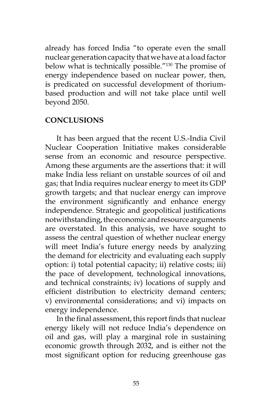already has forced India "to operate even the small nuclear generation capacity that we have at a load factor below what is technically possible."130 The promise of energy independence based on nuclear power, then, is predicated on successful development of thoriumbased production and will not take place until well beyond 2050.

#### **CONCLUSIONS**

It has been argued that the recent U.S.-India Civil Nuclear Cooperation Initiative makes considerable sense from an economic and resource perspective. Among these arguments are the assertions that: it will make India less reliant on unstable sources of oil and gas; that India requires nuclear energy to meet its GDP growth targets; and that nuclear energy can improve the environment significantly and enhance energy independence. Strategic and geopolitical justifications notwithstanding, the economic and resource arguments are overstated. In this analysis, we have sought to assess the central question of whether nuclear energy will meet India's future energy needs by analyzing the demand for electricity and evaluating each supply option: i) total potential capacity; ii) relative costs; iii) the pace of development, technological innovations, and technical constraints; iv) locations of supply and efficient distribution to electricity demand centers; v) environmental considerations; and vi) impacts on energy independence.

In the final assessment, this report finds that nuclear energy likely will not reduce India's dependence on oil and gas, will play a marginal role in sustaining economic growth through 2032, and is either not the most significant option for reducing greenhouse gas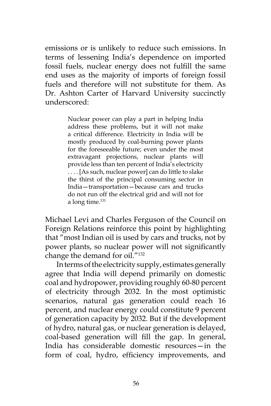emissions or is unlikely to reduce such emissions. In terms of lessening India's dependence on imported fossil fuels, nuclear energy does not fulfill the same end uses as the majority of imports of foreign fossil fuels and therefore will not substitute for them. As Dr. Ashton Carter of Harvard University succinctly underscored:

> Nuclear power can play a part in helping India address these problems, but it will not make a critical difference. Electricity in India will be mostly produced by coal-burning power plants for the foreseeable future; even under the most extravagant projections, nuclear plants will provide less than ten percent of India's electricity . . . . [As such, nuclear power] can do little to slake the thirst of the principal consuming sector in India—transportation—because cars and trucks do not run off the electrical grid and will not for a long time.<sup>131</sup>

Michael Levi and Charles Ferguson of the Council on Foreign Relations reinforce this point by highlighting that "most Indian oil is used by cars and trucks, not by power plants, so nuclear power will not significantly change the demand for oil."132

In terms of the electricity supply, estimates generally agree that India will depend primarily on domestic coal and hydropower, providing roughly 60-80 percent of electricity through 2032. In the most optimistic scenarios, natural gas generation could reach 16 percent, and nuclear energy could constitute 9 percent of generation capacity by 2032. But if the development of hydro, natural gas, or nuclear generation is delayed, coal-based generation will fill the gap. In general, India has considerable domestic resources—in the form of coal, hydro, efficiency improvements, and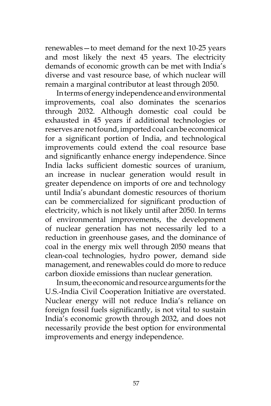renewables—to meet demand for the next 10-25 years and most likely the next 45 years. The electricity demands of economic growth can be met with India's diverse and vast resource base, of which nuclear will remain a marginal contributor at least through 2050.

In terms of energy independence and environmental improvements, coal also dominates the scenarios through 2032. Although domestic coal could be exhausted in 45 years if additional technologies or reserves are not found, imported coal can be economical for a significant portion of India, and technological improvements could extend the coal resource base and significantly enhance energy independence. Since India lacks sufficient domestic sources of uranium, an increase in nuclear generation would result in greater dependence on imports of ore and technology until India's abundant domestic resources of thorium can be commercialized for significant production of electricity, which is not likely until after 2050. In terms of environmental improvements, the development of nuclear generation has not necessarily led to a reduction in greenhouse gases, and the dominance of coal in the energy mix well through 2050 means that clean-coal technologies, hydro power, demand side management, and renewables could do more to reduce carbon dioxide emissions than nuclear generation.

In sum, the economic and resource arguments for the U.S.-India Civil Cooperation Initiative are overstated. Nuclear energy will not reduce India's reliance on foreign fossil fuels significantly, is not vital to sustain India's economic growth through 2032, and does not necessarily provide the best option for environmental improvements and energy independence.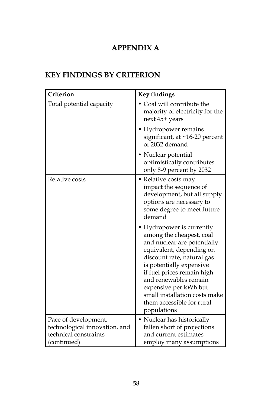# **APPENDIX A**

# **KEY FINDINGS BY CRITERION**

| Criterion                                                                                     | <b>Key findings</b>                                                                                                                                                                                                                                                                                                                     |
|-----------------------------------------------------------------------------------------------|-----------------------------------------------------------------------------------------------------------------------------------------------------------------------------------------------------------------------------------------------------------------------------------------------------------------------------------------|
| Total potential capacity                                                                      | Coal will contribute the<br>majority of electricity for the<br>next 45+ years                                                                                                                                                                                                                                                           |
|                                                                                               | • Hydropower remains<br>significant, at ~16-20 percent<br>of 2032 demand                                                                                                                                                                                                                                                                |
|                                                                                               | Nuclear potential<br>optimistically contributes<br>only 8-9 percent by 2032                                                                                                                                                                                                                                                             |
| Relative costs                                                                                | • Relative costs may<br>impact the sequence of<br>development, but all supply<br>options are necessary to<br>some degree to meet future<br>demand                                                                                                                                                                                       |
|                                                                                               | • Hydropower is currently<br>among the cheapest, coal<br>and nuclear are potentially<br>equivalent, depending on<br>discount rate, natural gas<br>is potentially expensive<br>if fuel prices remain high<br>and renewables remain<br>expensive per kWh but<br>small installation costs make<br>them accessible for rural<br>populations |
| Pace of development,<br>technological innovation, and<br>technical constraints<br>(continued) | • Nuclear has historically<br>fallen short of projections<br>and current estimates<br>employ many assumptions                                                                                                                                                                                                                           |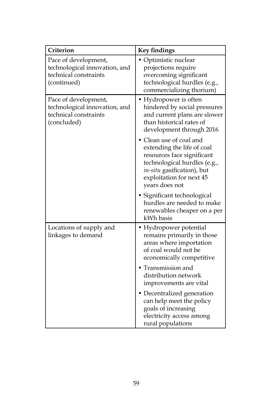| Criterion                                                                                     | <b>Key findings</b>                                                                                                                                                                           |
|-----------------------------------------------------------------------------------------------|-----------------------------------------------------------------------------------------------------------------------------------------------------------------------------------------------|
| Pace of development,<br>technological innovation, and<br>technical constraints<br>(continued) | • Optimistic nuclear<br>projections require<br>overcoming significant<br>technological hurdles (e.g.,<br>commercializing thorium)                                                             |
| Pace of development,<br>technological innovation, and<br>technical constraints<br>(concluded) | • Hydropower is often<br>hindered by social pressures<br>and current plans are slower<br>than historical rates of<br>development through 2016                                                 |
|                                                                                               | Clean use of coal and<br>extending the life of coal<br>resources face significant<br>technological hurdles (e.g.,<br>in-situ gasification), but<br>exploitation for next 45<br>years does not |
|                                                                                               | • Significant technological<br>hurdles are needed to make<br>renewables cheaper on a per<br>kWh basis                                                                                         |
| Locations of supply and<br>linkages to demand                                                 | • Hydropower potential<br>remains primarily in those<br>areas where importation<br>of coal would not be<br>economically competitive                                                           |
|                                                                                               | Transmission and<br>distribution network<br>improvements are vital                                                                                                                            |
|                                                                                               | • Decentralized generation<br>can help meet the policy<br>goals of increasing<br>electricity access among<br>rural populations                                                                |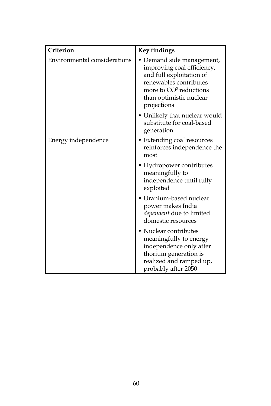| Criterion                    | <b>Key findings</b>                                                                                                                                                                           |
|------------------------------|-----------------------------------------------------------------------------------------------------------------------------------------------------------------------------------------------|
| Environmental considerations | • Demand side management,<br>improving coal efficiency,<br>and full exploitation of<br>renewables contributes<br>more to CO <sup>2</sup> reductions<br>than optimistic nuclear<br>projections |
|                              | • Unlikely that nuclear would<br>substitute for coal-based<br>generation                                                                                                                      |
| Energy independence          | • Extending coal resources<br>reinforces independence the<br>most                                                                                                                             |
|                              | • Hydropower contributes<br>meaningfully to<br>independence until fully<br>exploited                                                                                                          |
|                              | Uranium-based nuclear<br>power makes India<br>dependent due to limited<br>domestic resources                                                                                                  |
|                              | • Nuclear contributes<br>meaningfully to energy<br>independence only after<br>thorium generation is<br>realized and ramped up,<br>probably after 2050                                         |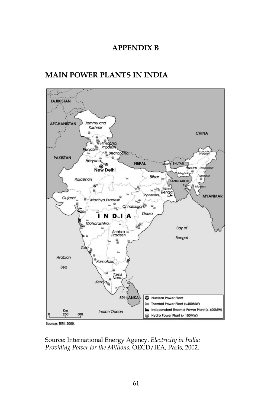#### **APPENDIX B**

## **MAIN POWER PLANTS IN INDIA**



Source: TERI, 2000.

Source: International Energy Agency. *Electricity in India: Providing Power for the Millions*, OECD/IEA, Paris, 2002.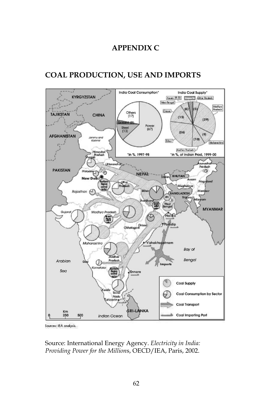## **APPENDIX C**

# **COAL PRODUCTION, USE AND IMPORTS**



Sources: IEA analysis.

Source: International Energy Agency. *Electricity in India: Providing Power for the Million*s, OECD/IEA, Paris, 2002.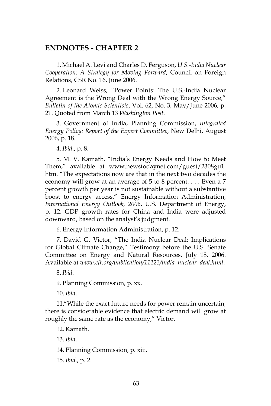#### **ENDNOTES - CHAPTER 2**

. Michael A. Levi and Charles D. Ferguson, *U.S.-India Nuclear*  1. *Cooperation: A Strategy for Moving Forward*, Council on Foreign Relations, CSR No. 16, June 2006.

 Leonard Weiss, "Power Points: The U.S.-India Nuclear 2. Agreement is the Wrong Deal with the Wrong Energy Source," *Bulletin of the Atomic Scientists*, Vol. 62, No. 3, May/June 2006, p. 21. Quoted from March 13 *Washington Post*.

. Government of India, Planning Commission, *Integrated*  3. *Energy Policy: Report of the Expert Committee*, New Delhi, August 2006, p. 18.

. *Ibid*., p. 8. 4.

. M. V. Kamath, "India's Energy Needs and How to Meet 5. Them," available at www.newstodaynet.com/guest/2308gu1. htm. "The expectations now are that in the next two decades the economy will grow at an average of 5 to 8 percent. . . . Even a 7 percent growth per year is not sustainable without a substantive boost to energy access," Energy Information Administration, *International Energy Outlook, 2006*, U.S. Department of Energy, p. 12. GDP growth rates for China and India were adjusted downward, based on the analyst's judgment.

. Energy Information Administration, p. 12. 6.

. David G. Victor, "The India Nuclear Deal: Implications 7. for Global Climate Change," Testimony before the U.S. Senate Committee on Energy and Natural Resources, July 18, 2006. Available at *www.cfr.org/publication/11123/india\_nuclear\_deal.html*.

. *Ibid*. 8.

. Planning Commission, p. xx. 9.

*Ibid*. 10.

11. "While the exact future needs for power remain uncertain, there is considerable evidence that electric demand will grow at roughly the same rate as the economy," Victor.

12. Kamath.

*Ibid*. 13.

14. Planning Commission, p. xiii.

*Ibid*., p. 2. 15.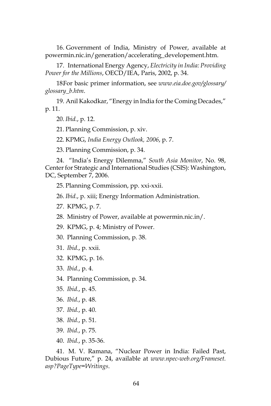16. Government of India, Ministry of Power, available at powermin.nic.in/generation/accelerating\_developement.htm.

17. International Energy Agency, *Electricity in India: Providing Power for the Millions*, OECD/IEA, Paris, 2002, p. 34.

18For basic primer information, see www.eia.doe.gov/glossary/ *glossary\_b.htm*.

 Anil Kakodkar, "Energy in India for the Coming Decades," 19. p. 11.

*Ibid.*, p. 12. 20.

21. Planning Commission, p. xiv.

KPMG, *India Energy Outlook, 2006*, p. 7. 22.

23. Planning Commission, p. 34.

 "India's Energy Dilemma," *South Asia Monitor*, No. 98, 24. Center for Strategic and International Studies (CSIS): Washington, DC, September 7, 2006.

25. Planning Commission, pp. xxi-xxii.

*Ibid*., p. xiii; Energy Information Administration. 26.

27. KPMG, p. 7.

Ministry of Power, available at powermin.nic.in/. 28.

29. KPMG, p. 4; Ministry of Power.

30. Planning Commission, p. 38.

- *Ibid*., p. xxii. 31.
- 32. KPMG, p. 16.
- *Ibid.*, p. 4. 33.

34. Planning Commission, p. 34.

- *Ibid.*, p. 45. 35.
- *Ibid.*, p. 48. 36.
- *Ibid.*, p. 40. 37.
- *Ibid.*, p. 51. 38.
- *Ibid.*, p. 75. 39.
- *Ibid.*, p. 35-36. 40.

 M. V. Ramana, "Nuclear Power in India: Failed Past, 41.Dubious Future," p. 24, available at *www.npec-web.org/Frameset. asp?PageType=Writings*.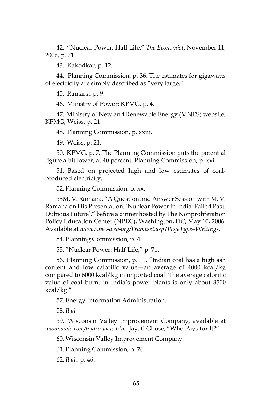"Nuclear Power: Half Life," *The Economist*, November 11, 42. 2006, p. 71.

43. Kakodkar, p. 12.

 Planning Commission, p. 36. The estimates for gigawatts 44. of electricity are simply described as "very large."

45. Ramana, p. 9.

46. Ministry of Power; KPMG, p. 4.

47. Ministry of New and Renewable Energy (MNES) website; KPMG; Weiss, p. 21.

48. Planning Commission, p. xxiii.

Weiss, p. 21. 49.

50. KPMG, p. 7. The Planning Commission puts the potential figure a bit lower, at 40 percent. Planning Commission, p. xxi.

51. Based on projected high and low estimates of coalproduced electricity.

52. Planning Commission, p. xx.

53M. V. Ramana, "A Question and Answer Session with M. V. Ramana on His Presentation, 'Nuclear Power in India: Failed Past, Dubious Future'," before a dinner hosted by The Nonproliferation Policy Education Center (NPEC), Washington, DC, May 10, 2006. Available at *www.npec-web-org/Frameset.asp?PageType=Writings*.

54. Planning Commission, p. 4.

55. "Nuclear Power: Half Life," p. 71.

56. Planning Commission, p. 11. "Indian coal has a high ash content and low calorific value—an average of 4000 kcal/kg compared to 6000 kcal/kg in imported coal. The average calorific value of coal burnt in India's power plants is only about 3500 kcal/kg."

57. Energy Information Administration.

*Ibid.* 58.

 Wisconsin Valley Improvement Company, available at 59. *www.wvic.com/hydro-facts.htm*. Jayati Ghose, "Who Pays for It?"

60. Wisconsin Valley Improvement Company.

Planning Commission, p. 76. 61.

*Ibid*., p. 46. 62.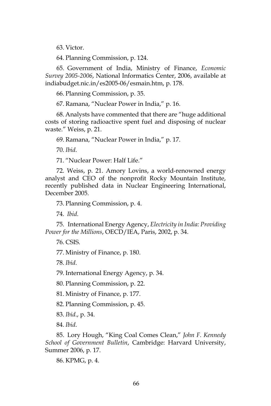63. Victor.

Planning Commission, p. 124. 64.

65. Government of India, Ministry of Finance, *Economic Survey 2005-2006*, National Informatics Center, 2006, available at indiabudget.nic.in/es2005-06/esmain.htm, p. 178.

66. Planning Commission, p. 35.

67. Ramana, "Nuclear Power in India," p. 16.

68. Analysts have commented that there are "huge additional costs of storing radioactive spent fuel and disposing of nuclear waste." Weiss, p. 21.

Ramana, "Nuclear Power in India," p. 17. 69.

*Ibid*. 70.

71. "Nuclear Power: Half Life."

 Weiss, p. 21. Amory Lovins, a world-renowned energy 72. analyst and CEO of the nonprofit Rocky Mountain Institute, recently published data in Nuclear Engineering International, December 2005.

73. Planning Commission, p. 4.

*Ibid*. 74.

International Energy Agency, *Electricity in India: Providing*  75. *Power for the Millions*, OECD/IEA, Paris, 2002, p. 34.

76. CSIS.

77. Ministry of Finance, p. 180.

*Ibid*. 78.

79. International Energy Agency, p. 34.

80. Planning Commission, p. 22.

81. Ministry of Finance, p. 177.

82. Planning Commission, p. 45.

*Ibid*., p. 34. 83.

*Ibid*. 84.

 Lory Hough, "King Coal Comes Clean," *John F. Kennedy*  85. *School of Government Bulletin*, Cambridge: Harvard University, Summer 2006, p. 17.

86. KPMG, p. 4.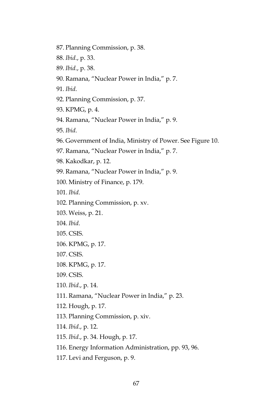- 87. Planning Commission, p. 38.
- *Ibid*., p. 33. 88.
- *Ibid*., p. 38. 89.
- 90. Ramana, "Nuclear Power in India," p. 7.
- *Ibid*. 91.
- Planning Commission, p. 37. 92.
- 93. KPMG, p. 4.
- Ramana, "Nuclear Power in India," p. 9. 94.
- *Ibid*. 95.
- Government of India, Ministry of Power. See Figure 10. 96.
- 97. Ramana, "Nuclear Power in India," p. 7.
- 98. Kakodkar, p. 12.
- Ramana, "Nuclear Power in India," p. 9. 99.
- 100. Ministry of Finance, p. 179.
- *Ibid*. 101.
- 102. Planning Commission, p. xv.
- 103. Weiss, p. 21.
- *Ibid*. 104.
- 105. CSIS.
- 106. KPMG, p. 17.
- 107. CSIS.
- 108. KPMG, p. 17.
- 109. CSIS.
- *Ibid*., p. 14. 110.
- 111. Ramana, "Nuclear Power in India," p. 23.
- 112. Hough, p. 17.
- 113. Planning Commission, p. xiv.
- *Ibid*., p. 12. 114.
- *Ibid*., p. 34. Hough, p. 17. 115.
- 116. Energy Information Administration, pp. 93, 96.
- 117. Levi and Ferguson, p. 9.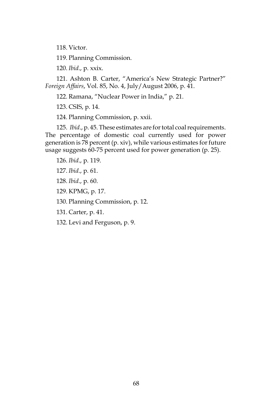118. Victor.

119. Planning Commission.

*Ibid*., p. xxix. 120.

121. Ashton B. Carter, "America's New Strategic Partner?" *Foreign Affairs*, Vol. 85, No. 4, July/August 2006, p. 41.

122. Ramana, "Nuclear Power in India," p. 21.

123. CSIS, p. 14.

124. Planning Commission, p. xxii.

 *Ibid*., p. 45. These estimates are for total coal requirements. 125. The percentage of domestic coal currently used for power generation is 78 percent (p. xiv), while various estimates for future usage suggests 60-75 percent used for power generation (p. 25).

*Ibid*., p. 119. 126.

*Ibid*., p. 61. 127.

*Ibid*., p. 60. 128.

129. KPMG, p. 17.

130. Planning Commission, p. 12.

131. Carter, p. 41.

132. Levi and Ferguson, p. 9.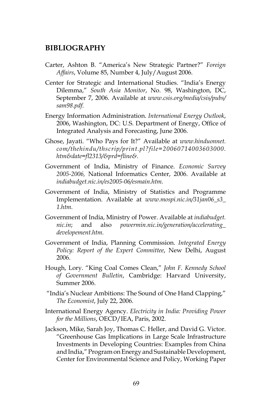#### **BIBLIOGRAPHY**

- Carter, Ashton B. "America's New Strategic Partner?" *Foreign Affairs*, Volume 85, Number 4, July/August 2006.
- Center for Strategic and International Studies. "India's Energy Dilemma," *South Asia Monitor*, No. 98, Washington, DC, September 7, 2006. Available at *www.csis.org/media/csis/pubs/ sam98.pdf.*
- Energy Information Administration. *International Energy Outlook*, 2006, Washington, DC: U.S. Department of Energy, Office of Integrated Analysis and Forecasting, June 2006.
- Ghose, Jayati. "Who Pays for It?" Available at *www.hinduonnet. com/thehindu/thscrip/print.pl?file=20060714003603000. htm&date=fl2313/&prd=fline&.*
- Government of India, Ministry of Finance. *Economic Survey 2005-2006,* National Informatics Center, 2006. Available at *indiabudget.nic.in/es2005-06/esmain.htm.*
- Government of India, Ministry of Statistics and Programme Implementation. Available at *www.mospi.nic.in/31jan06\_s3\_ 1.htm.*
- Government of India, Ministry of Power. Available at *indiabudget. nic.in*; and also *powermin.nic.in/generation/accelerating\_ developement.htm.*
- Government of India, Planning Commission. *Integrated Energy Policy: Report of the Expert Committee*, New Delhi, August 2006.
- Hough, Lory. "King Coal Comes Clean," *John F. Kennedy School of Government Bulletin*, Cambridge: Harvard University, Summer 2006.
- "India's Nuclear Ambitions: The Sound of One Hand Clapping," *The Economist*, July 22, 2006.
- International Energy Agency. *Electricity in India: Providing Power for the Millions*, OECD/IEA, Paris, 2002.
- Jackson, Mike, Sarah Joy, Thomas C. Heller, and David G. Victor. "Greenhouse Gas Implications in Large Scale Infrastructure Investments in Developing Countries: Examples from China and India," Program on Energy and Sustainable Development, Center for Environmental Science and Policy, Working Paper